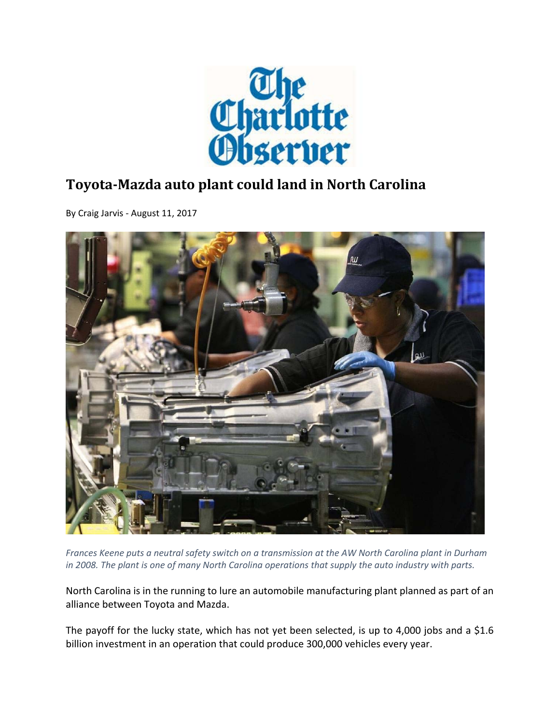

## **Toyota‐Mazda auto plant could land in North Carolina**

By Craig Jarvis ‐ August 11, 2017



Frances Keene puts a neutral safety switch on a transmission at the AW North Carolina plant in Durham in 2008. The plant is one of many North Carolina operations that supply the auto industry with parts.

North Carolina is in the running to lure an automobile manufacturing plant planned as part of an alliance between Toyota and Mazda.

The payoff for the lucky state, which has not yet been selected, is up to 4,000 jobs and a \$1.6 billion investment in an operation that could produce 300,000 vehicles every year.